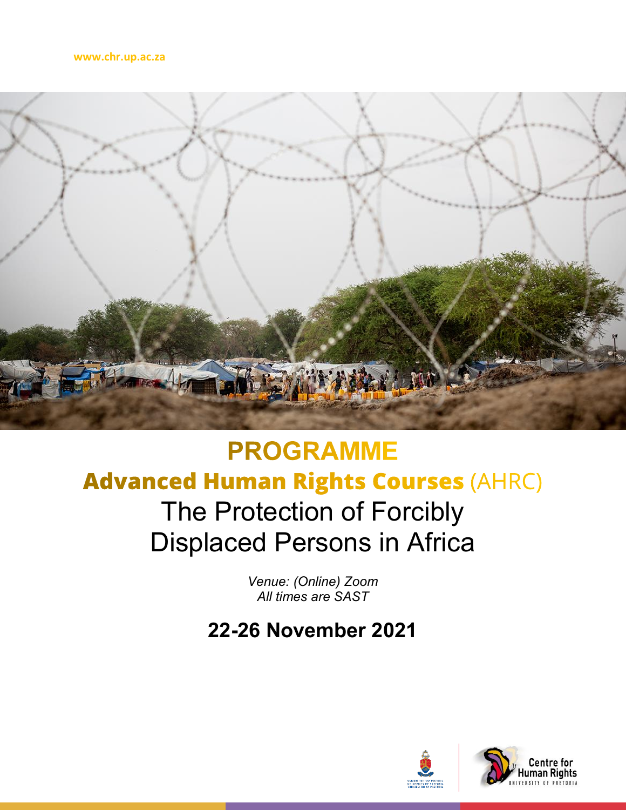

## **PROGRAMME Advanced Human Rights Courses (AHRC)** The Protection of Forcibly Displaced Persons in Africa

*Venue: (Online) Zoom All times are SAST* 

**22-26 November 2021**

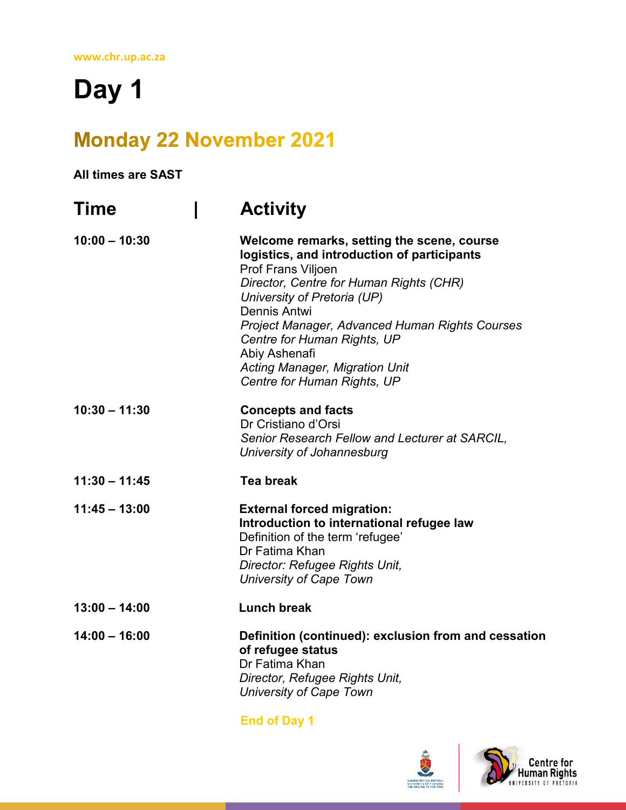# **Day 1**

### **Monday 22 November 2021**

#### **All times are SAST**

| <b>Time</b>     | <b>Activity</b>                                                                                                                                                                                                                                                                                                                                                                     |
|-----------------|-------------------------------------------------------------------------------------------------------------------------------------------------------------------------------------------------------------------------------------------------------------------------------------------------------------------------------------------------------------------------------------|
| $10:00 - 10:30$ | Welcome remarks, setting the scene, course<br>logistics, and introduction of participants<br>Prof Frans Viljoen<br>Director, Centre for Human Rights (CHR)<br>University of Pretoria (UP)<br>Dennis Antwi<br>Project Manager, Advanced Human Rights Courses<br>Centre for Human Rights, UP<br>Abiy Ashenafi<br><b>Acting Manager, Migration Unit</b><br>Centre for Human Rights, UP |
| $10:30 - 11:30$ | <b>Concepts and facts</b><br>Dr Cristiano d'Orsi<br>Senior Research Fellow and Lecturer at SARCIL,<br>University of Johannesburg                                                                                                                                                                                                                                                    |
| $11:30 - 11:45$ | <b>Tea break</b>                                                                                                                                                                                                                                                                                                                                                                    |
| $11:45 - 13:00$ | <b>External forced migration:</b><br>Introduction to international refugee law<br>Definition of the term 'refugee'<br>Dr Fatima Khan<br>Director: Refugee Rights Unit,<br><b>University of Cape Town</b>                                                                                                                                                                            |
| $13:00 - 14:00$ | <b>Lunch break</b>                                                                                                                                                                                                                                                                                                                                                                  |
| $14:00 - 16:00$ | Definition (continued): exclusion from and cessation<br>of refugee status<br>Dr Fatima Khan<br>Director, Refugee Rights Unit,<br><b>University of Cape Town</b>                                                                                                                                                                                                                     |

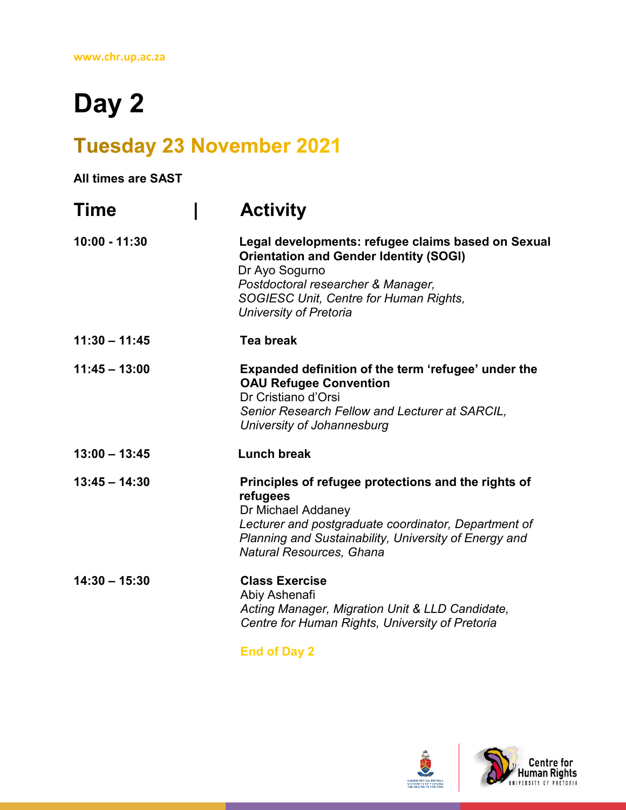## **Day 2**

### **Tuesday 23 November 2021**

**All times are SAST Time | Activity 10:00 - 11:30 Legal developments: refugee claims based on Sexual Orientation and Gender Identity (SOGI)**  Dr Ayo Sogurno *Postdoctoral researcher & Manager, SOGIESC Unit, Centre for Human Rights, University of Pretoria* **11:30 – 11:45 Tea break 11:45 – 13:00 Expanded definition of the term 'refugee' under the OAU Refugee Convention** Dr Cristiano d'Orsi *Senior Research Fellow and Lecturer at SARCIL, University of Johannesburg* **13:00 – 13:45 Lunch break 13:45 – 14:30 Principles of refugee protections and the rights of refugees** Dr Michael Addaney *Lecturer and postgraduate coordinator, Department of Planning and Sustainability, University of Energy and Natural Resources, Ghana* **14:30 – 15:30 Class Exercise** Abiy Ashenafi *Acting Manager, Migration Unit & LLD Candidate, Centre for Human Rights, University of Pretoria*

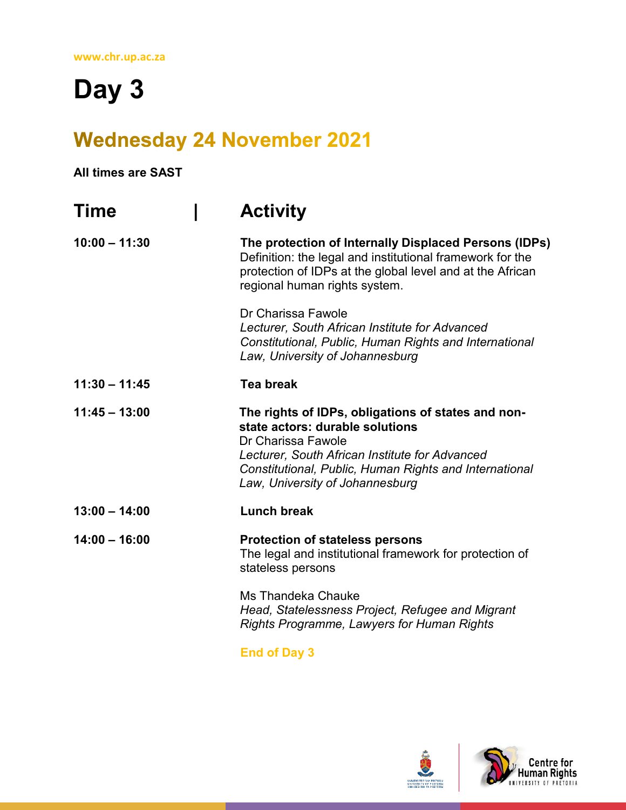**Day 3**

### **Wednesday 24 November 2021**

#### **All times are SAST**

| Time            | <b>Activity</b>                                                                                                                                                                                                                                            |
|-----------------|------------------------------------------------------------------------------------------------------------------------------------------------------------------------------------------------------------------------------------------------------------|
| $10:00 - 11:30$ | The protection of Internally Displaced Persons (IDPs)<br>Definition: the legal and institutional framework for the<br>protection of IDPs at the global level and at the African<br>regional human rights system.                                           |
|                 | Dr Charissa Fawole<br>Lecturer, South African Institute for Advanced<br>Constitutional, Public, Human Rights and International<br>Law, University of Johannesburg                                                                                          |
| $11:30 - 11:45$ | <b>Tea break</b>                                                                                                                                                                                                                                           |
| $11:45 - 13:00$ | The rights of IDPs, obligations of states and non-<br>state actors: durable solutions<br>Dr Charissa Fawole<br>Lecturer, South African Institute for Advanced<br>Constitutional, Public, Human Rights and International<br>Law, University of Johannesburg |
| $13:00 - 14:00$ | <b>Lunch break</b>                                                                                                                                                                                                                                         |
| $14:00 - 16:00$ | <b>Protection of stateless persons</b><br>The legal and institutional framework for protection of<br>stateless persons                                                                                                                                     |
|                 | Ms Thandeka Chauke<br>Head, Statelessness Project, Refugee and Migrant<br>Rights Programme, Lawyers for Human Rights                                                                                                                                       |
|                 | <b>PULLER A</b>                                                                                                                                                                                                                                            |

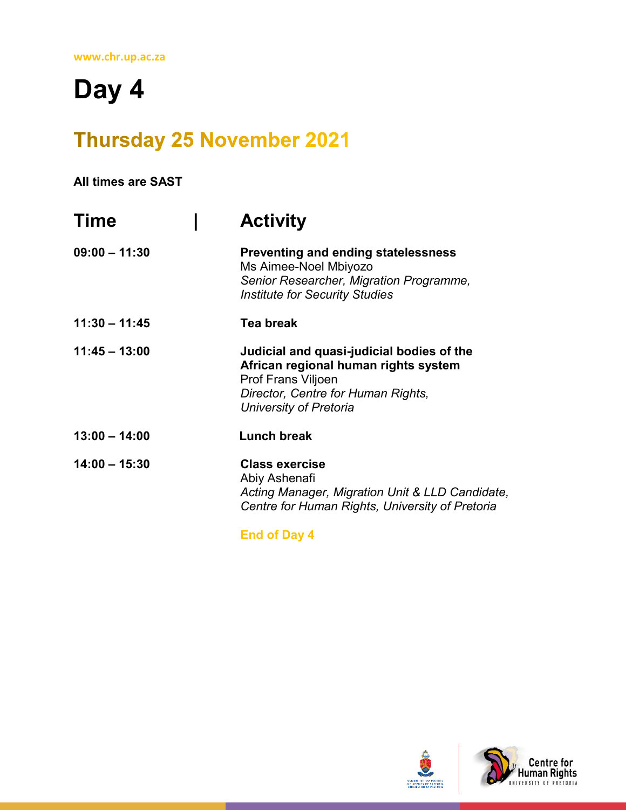# **Day 4**

## **Thursday 25 November 2021**

#### **All times are SAST**

| Time            | <b>Activity</b>                                                                                                                                                                |
|-----------------|--------------------------------------------------------------------------------------------------------------------------------------------------------------------------------|
| $09:00 - 11:30$ | <b>Preventing and ending statelessness</b><br>Ms Aimee-Noel Mbiyozo<br>Senior Researcher, Migration Programme,<br><b>Institute for Security Studies</b>                        |
| $11:30 - 11:45$ | Tea break                                                                                                                                                                      |
| $11:45 - 13:00$ | Judicial and quasi-judicial bodies of the<br>African regional human rights system<br><b>Prof Frans Viljoen</b><br>Director, Centre for Human Rights,<br>University of Pretoria |
| $13:00 - 14:00$ | Lunch break                                                                                                                                                                    |
| $14:00 - 15:30$ | <b>Class exercise</b><br>Abiy Ashenafi<br>Acting Manager, Migration Unit & LLD Candidate,<br>Centre for Human Rights, University of Pretoria                                   |

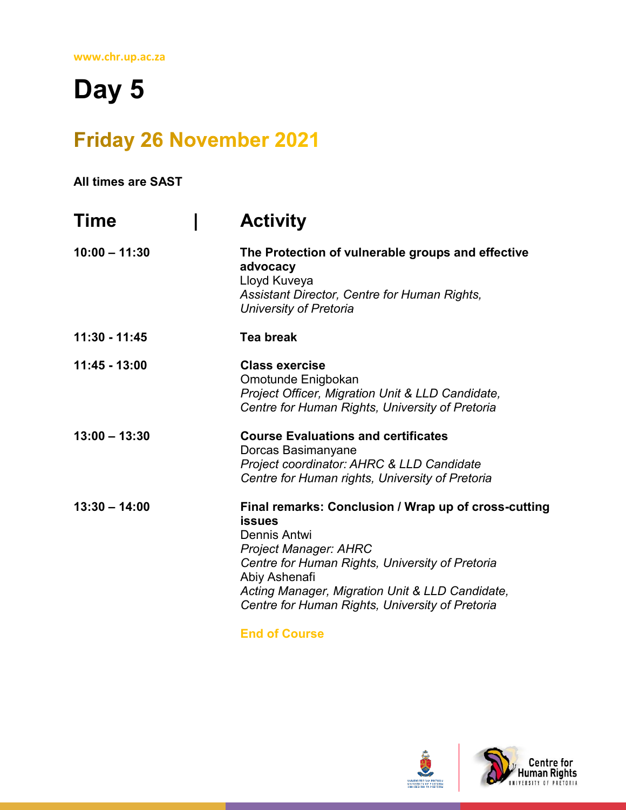# **Day 5**

## **Friday 26 November 2021**

**All times are SAST** 

| Time            | <b>Activity</b>                                                                                                                                                                                                                                                                                 |
|-----------------|-------------------------------------------------------------------------------------------------------------------------------------------------------------------------------------------------------------------------------------------------------------------------------------------------|
| $10:00 - 11:30$ | The Protection of vulnerable groups and effective<br>advocacy<br>Lloyd Kuveya<br>Assistant Director, Centre for Human Rights,<br>University of Pretoria                                                                                                                                         |
| 11:30 - 11:45   | <b>Tea break</b>                                                                                                                                                                                                                                                                                |
| 11:45 - 13:00   | <b>Class exercise</b><br>Omotunde Enigbokan<br>Project Officer, Migration Unit & LLD Candidate,<br>Centre for Human Rights, University of Pretoria                                                                                                                                              |
| $13:00 - 13:30$ | <b>Course Evaluations and certificates</b><br>Dorcas Basimanyane<br>Project coordinator: AHRC & LLD Candidate<br>Centre for Human rights, University of Pretoria                                                                                                                                |
| $13:30 - 14:00$ | Final remarks: Conclusion / Wrap up of cross-cutting<br><b>issues</b><br>Dennis Antwi<br><b>Project Manager: AHRC</b><br>Centre for Human Rights, University of Pretoria<br>Abiy Ashenafi<br>Acting Manager, Migration Unit & LLD Candidate,<br>Centre for Human Rights, University of Pretoria |

**End of Course**